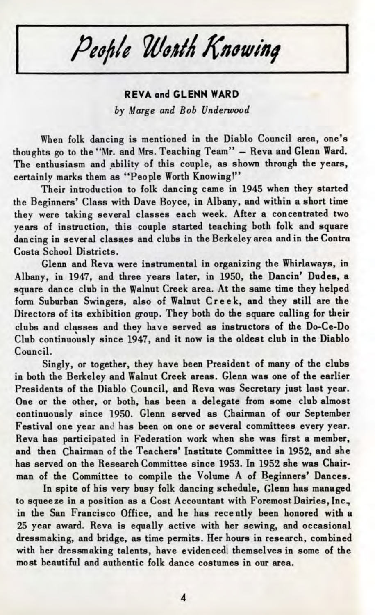People Worth Knowing

## **REVA and GLENN WARD** *by Marge and Bob Underwood*

When folk dancing is mentioned in the Diablo Council area, one's thoughts go to the "Mr. and Mrs. Teaching Team" — Reva and Glenn Ward. The enthusiasm and ability of this couple, as shown through the years, certainly marks them as "People Worth Knowing!"

Their introduction to folk dancing came in 1945 when they started the Beginners' Class with Dave Boyce, in Albany, and within a short time they were taking several classes each week. After a concentrated two years of instruction, this couple started teaching both folk and square dancing in several classes and clubs in the Berkeley area and in the Contra Costa School Districts.

Glenn and Reva were instrumental in organizing the Whirlaways, in Albany, in 1947, and three years later, in 1950, the Dancin' Dudes, a square dance club in the Walnut Creek area. At the same time they helped form Suburban Swingers, also of Walnut Creek, and they still are the Directors of its exhibition group. They both do the square calling for their clubs and classes and they have served as instructors of the Do-Ce-Do Club continuously since 1947, and it now is the oldest club in the Diablo Council.

Singly, or together, they have been President of many of the clubs in both the Berkeley and Walnut Creek areas. Glenn was one of the earlier Presidents of the Diablo Council, and Reva was Secretary just last year. One or the other, or both, has been a delegate from some club almost continuously since 1950. Glenn served as Chairman of our September Festival one year and has been on one or several committees every year. Reva has participated in Federation work when she was first a member, and then Chairman of the Teachers' Institute Committee in 1952, and she has served on the Research Committee since 1953. In 1952 she was Chairman of the Committee to compile the Volume A of Beginners' Dances.

In spite of his very busy folk dancing schedule, Glenn has managed to squeeze in a position as a Cost Accountant with Foremost Dairies, Inc., in the San Francisco Office, and he has recently been honored with a 25 year award. Reva is equally active with her sewing, and occasional dressmaking, and bridge, as time permits. Her hours in research, combined with her dressmaking talents, have evidenced themselves in some of the most beautiful and authentic folk dance costumes in our area.